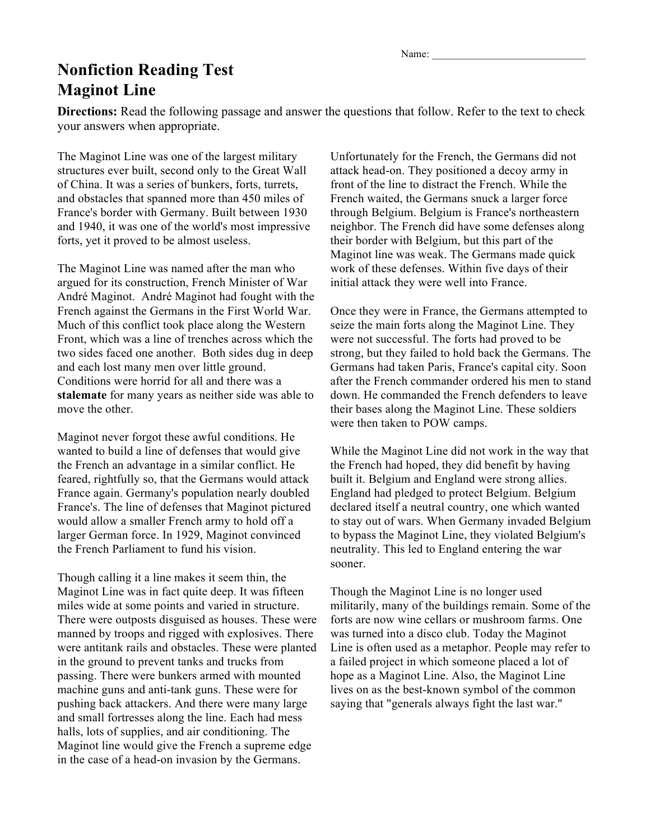Name:

## **Nonfiction Reading Test Maginot Line**

**Directions:** Read the following passage and answer the questions that follow. Refer to the text to check your answers when appropriate.

The Maginot Line was one of the largest military structures ever built, second only to the Great Wall of China. It was a series of bunkers, forts, turrets, and obstacles that spanned more than 450 miles of France's border with Germany. Built between 1930 and 1940, it was one of the world's most impressive forts, yet it proved to be almost useless.

The Maginot Line was named after the man who argued for its construction, French Minister of War André Maginot. André Maginot had fought with the French against the Germans in the First World War. Much of this conflict took place along the Western Front, which was a line of trenches across which the two sides faced one another. Both sides dug in deep and each lost many men over little ground. Conditions were horrid for all and there was a **stalemate** for many years as neither side was able to move the other.

Maginot never forgot these awful conditions. He wanted to build a line of defenses that would give the French an advantage in a similar conflict. He feared, rightfully so, that the Germans would attack France again. Germany's population nearly doubled France's. The line of defenses that Maginot pictured would allow a smaller French army to hold off a larger German force. In 1929, Maginot convinced the French Parliament to fund his vision.

Though calling it a line makes it seem thin, the Maginot Line was in fact quite deep. It was fifteen miles wide at some points and varied in structure. There were outposts disguised as houses. These were manned by troops and rigged with explosives. There were antitank rails and obstacles. These were planted in the ground to prevent tanks and trucks from passing. There were bunkers armed with mounted machine guns and anti-tank guns. These were for pushing back attackers. And there were many large and small fortresses along the line. Each had mess halls, lots of supplies, and air conditioning. The Maginot line would give the French a supreme edge in the case of a head-on invasion by the Germans.

Unfortunately for the French, the Germans did not attack head-on. They positioned a decoy army in front of the line to distract the French. While the French waited, the Germans snuck a larger force through Belgium. Belgium is France's northeastern neighbor. The French did have some defenses along their border with Belgium, but this part of the Maginot line was weak. The Germans made quick work of these defenses. Within five days of their initial attack they were well into France.

Once they were in France, the Germans attempted to seize the main forts along the Maginot Line. They were not successful. The forts had proved to be strong, but they failed to hold back the Germans. The Germans had taken Paris, France's capital city. Soon after the French commander ordered his men to stand down. He commanded the French defenders to leave their bases along the Maginot Line. These soldiers were then taken to POW camps.

While the Maginot Line did not work in the way that the French had hoped, they did benefit by having built it. Belgium and England were strong allies. England had pledged to protect Belgium. Belgium declared itself a neutral country, one which wanted to stay out of wars. When Germany invaded Belgium to bypass the Maginot Line, they violated Belgium's neutrality. This led to England entering the war sooner.

Though the Maginot Line is no longer used militarily, many of the buildings remain. Some of the forts are now wine cellars or mushroom farms. One was turned into a disco club. Today the Maginot Line is often used as a metaphor. People may refer to a failed project in which someone placed a lot of hope as a Maginot Line. Also, the Maginot Line lives on as the best-known symbol of the common saying that "generals always fight the last war."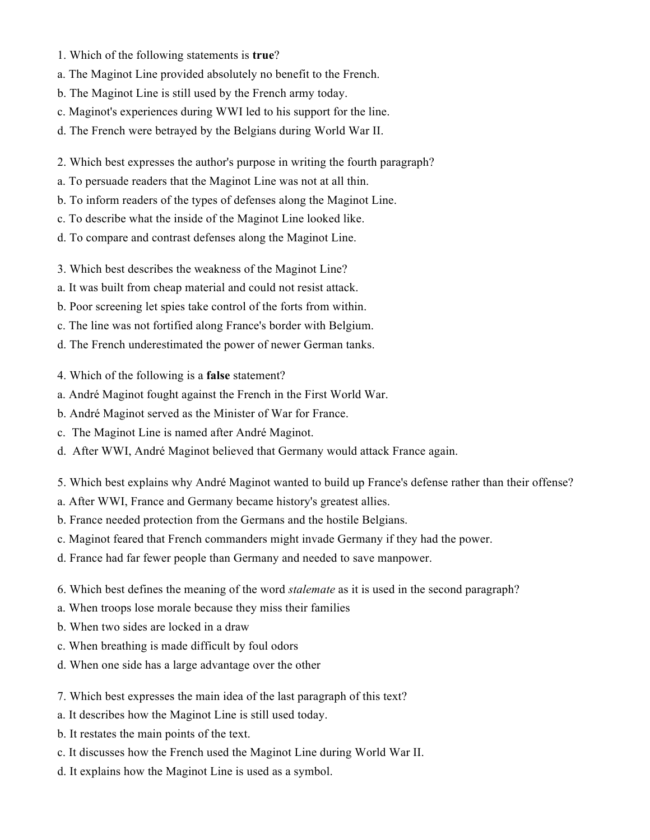- 1. Which of the following statements is **true**?
- a. The Maginot Line provided absolutely no benefit to the French.
- b. The Maginot Line is still used by the French army today.
- c. Maginot's experiences during WWI led to his support for the line.
- d. The French were betrayed by the Belgians during World War II.
- 2. Which best expresses the author's purpose in writing the fourth paragraph?
- a. To persuade readers that the Maginot Line was not at all thin.
- b. To inform readers of the types of defenses along the Maginot Line.
- c. To describe what the inside of the Maginot Line looked like.
- d. To compare and contrast defenses along the Maginot Line.
- 3. Which best describes the weakness of the Maginot Line?
- a. It was built from cheap material and could not resist attack.
- b. Poor screening let spies take control of the forts from within.
- c. The line was not fortified along France's border with Belgium.
- d. The French underestimated the power of newer German tanks.
- 4. Which of the following is a **false** statement?
- a. André Maginot fought against the French in the First World War.
- b. André Maginot served as the Minister of War for France.
- c. The Maginot Line is named after André Maginot.
- d. After WWI, André Maginot believed that Germany would attack France again.
- 5. Which best explains why André Maginot wanted to build up France's defense rather than their offense?
- a. After WWI, France and Germany became history's greatest allies.
- b. France needed protection from the Germans and the hostile Belgians.
- c. Maginot feared that French commanders might invade Germany if they had the power.
- d. France had far fewer people than Germany and needed to save manpower.
- 6. Which best defines the meaning of the word *stalemate* as it is used in the second paragraph?
- a. When troops lose morale because they miss their families
- b. When two sides are locked in a draw
- c. When breathing is made difficult by foul odors
- d. When one side has a large advantage over the other
- 7. Which best expresses the main idea of the last paragraph of this text?
- a. It describes how the Maginot Line is still used today.
- b. It restates the main points of the text.
- c. It discusses how the French used the Maginot Line during World War II.
- d. It explains how the Maginot Line is used as a symbol.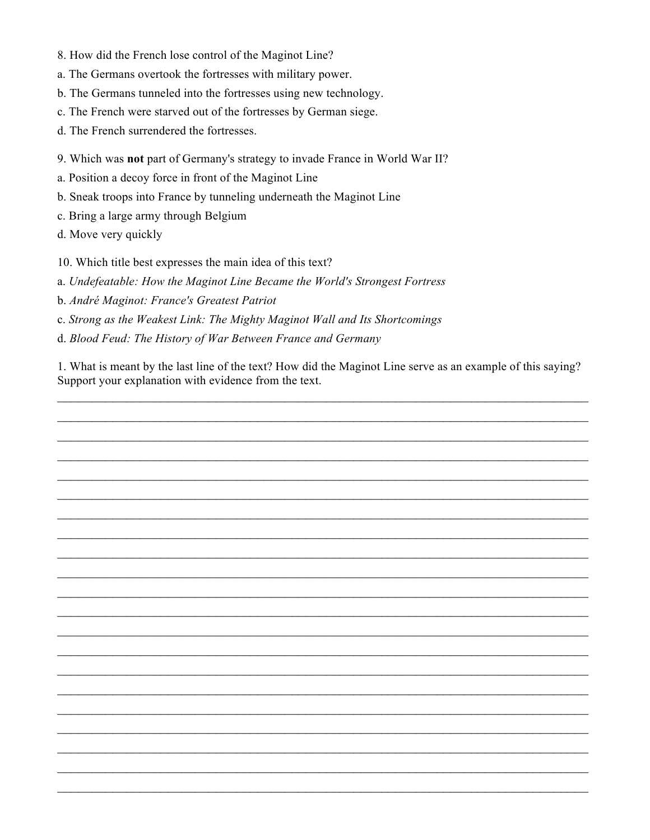- 8. How did the French lose control of the Maginot Line?
- a. The Germans overtook the fortresses with military power.
- b. The Germans tunneled into the fortresses using new technology.
- c. The French were starved out of the fortresses by German siege.
- d. The French surrendered the fortresses.
- 9. Which was **not** part of Germany's strategy to invade France in World War II?
- a. Position a decoy force in front of the Maginot Line
- b. Sneak troops into France by tunneling underneath the Maginot Line
- c. Bring a large army through Belgium
- d. Move very quickly

10. Which title best expresses the main idea of this text?

a. *Undefeatable: How the Maginot Line Became the World's Strongest Fortress*

- b. *André Maginot: France's Greatest Patriot*
- c. *Strong as the Weakest Link: The Mighty Maginot Wall and Its Shortcomings*
- d. *Blood Feud: The History of War Between France and Germany*

1. What is meant by the last line of the text? How did the Maginot Line serve as an example of this saying? Support your explanation with evidence from the text.

 $\mathcal{L}_\text{max} = \mathcal{L}_\text{max} = \mathcal{L}_\text{max} = \mathcal{L}_\text{max} = \mathcal{L}_\text{max} = \mathcal{L}_\text{max} = \mathcal{L}_\text{max} = \mathcal{L}_\text{max} = \mathcal{L}_\text{max} = \mathcal{L}_\text{max} = \mathcal{L}_\text{max} = \mathcal{L}_\text{max} = \mathcal{L}_\text{max} = \mathcal{L}_\text{max} = \mathcal{L}_\text{max} = \mathcal{L}_\text{max} = \mathcal{L}_\text{max} = \mathcal{L}_\text{max} = \mathcal{$ 

 $\mathcal{L}_\text{max} = \mathcal{L}_\text{max} = \mathcal{L}_\text{max} = \mathcal{L}_\text{max} = \mathcal{L}_\text{max} = \mathcal{L}_\text{max} = \mathcal{L}_\text{max} = \mathcal{L}_\text{max} = \mathcal{L}_\text{max} = \mathcal{L}_\text{max} = \mathcal{L}_\text{max} = \mathcal{L}_\text{max} = \mathcal{L}_\text{max} = \mathcal{L}_\text{max} = \mathcal{L}_\text{max} = \mathcal{L}_\text{max} = \mathcal{L}_\text{max} = \mathcal{L}_\text{max} = \mathcal{$ 

 $\mathcal{L}_\text{max}$  and  $\mathcal{L}_\text{max}$  and  $\mathcal{L}_\text{max}$  and  $\mathcal{L}_\text{max}$  and  $\mathcal{L}_\text{max}$  and  $\mathcal{L}_\text{max}$ 

 $\mathcal{L}_\text{max}$  and  $\mathcal{L}_\text{max}$  and  $\mathcal{L}_\text{max}$  and  $\mathcal{L}_\text{max}$  and  $\mathcal{L}_\text{max}$  and  $\mathcal{L}_\text{max}$ 

 $\mathcal{L}_\text{max}$  and  $\mathcal{L}_\text{max}$  and  $\mathcal{L}_\text{max}$  and  $\mathcal{L}_\text{max}$  and  $\mathcal{L}_\text{max}$  and  $\mathcal{L}_\text{max}$ 

 $\mathcal{L}_\text{max} = \mathcal{L}_\text{max} = \mathcal{L}_\text{max} = \mathcal{L}_\text{max} = \mathcal{L}_\text{max} = \mathcal{L}_\text{max} = \mathcal{L}_\text{max} = \mathcal{L}_\text{max} = \mathcal{L}_\text{max} = \mathcal{L}_\text{max} = \mathcal{L}_\text{max} = \mathcal{L}_\text{max} = \mathcal{L}_\text{max} = \mathcal{L}_\text{max} = \mathcal{L}_\text{max} = \mathcal{L}_\text{max} = \mathcal{L}_\text{max} = \mathcal{L}_\text{max} = \mathcal{$ 

 $\mathcal{L}_\text{max} = \mathcal{L}_\text{max} = \mathcal{L}_\text{max} = \mathcal{L}_\text{max} = \mathcal{L}_\text{max} = \mathcal{L}_\text{max} = \mathcal{L}_\text{max} = \mathcal{L}_\text{max} = \mathcal{L}_\text{max} = \mathcal{L}_\text{max} = \mathcal{L}_\text{max} = \mathcal{L}_\text{max} = \mathcal{L}_\text{max} = \mathcal{L}_\text{max} = \mathcal{L}_\text{max} = \mathcal{L}_\text{max} = \mathcal{L}_\text{max} = \mathcal{L}_\text{max} = \mathcal{$ 

 $\mathcal{L}_\text{max} = \mathcal{L}_\text{max} = \mathcal{L}_\text{max} = \mathcal{L}_\text{max} = \mathcal{L}_\text{max} = \mathcal{L}_\text{max} = \mathcal{L}_\text{max} = \mathcal{L}_\text{max} = \mathcal{L}_\text{max} = \mathcal{L}_\text{max} = \mathcal{L}_\text{max} = \mathcal{L}_\text{max} = \mathcal{L}_\text{max} = \mathcal{L}_\text{max} = \mathcal{L}_\text{max} = \mathcal{L}_\text{max} = \mathcal{L}_\text{max} = \mathcal{L}_\text{max} = \mathcal{$